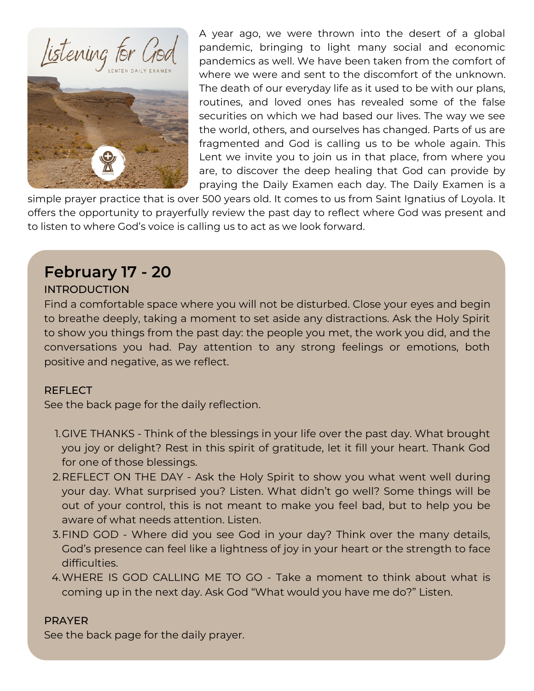



A year ago, we were thrown into the desert of a global pandemic, bringing to light many social and economic pandemics as well. We have been taken from the comfort of where we were and sent to the discomfort of the unknown. The death of our everyday life as it used to be with our plans, routines, and loved ones has revealed some of the false securities on which we had based our lives. The way we see the world, others, and ourselves has changed. Parts of us are fragmented and God is calling us to be whole again. This Lent we invite you to join us in that place, from where you are, to discover the deep healing that God can provide by praying the Daily Examen each day. The Daily Examen is a

simple prayer practice that is over 500 years old. It comes to us from Saint Ignatius of Loyola. It offers the opportunity to prayerfully review the past day to reflect where God was present and to listen to where God's voice is calling us to act as we look forward.

# **February 17 - 20**

## INTRODUCTION

Find a comfortable space where you will not be disturbed. Close your eyes and begin to breathe deeply, taking a moment to set aside any distractions. Ask the Holy Spirit to show you things from the past day: the people you met, the work you did, and the conversations you had. Pay attention to any strong feelings or emotions, both positive and negative, as we reflect.

### REFLECT

See the back page for the daily reflection.

- 1.GIVE THANKS Think of the blessings in your life over the past day. What brought you joy or delight? Rest in this spirit of gratitude, let it fill your heart. Thank God for one of those blessings.
- 2.REFLECT ON THE DAY Ask the Holy Spirit to show you what went well during your day. What surprised you? Listen. What didn't go well? Some things will be out of your control, this is not meant to make you feel bad, but to help you be aware of what needs attention. Listen.
- FIND GOD Where did you see God in your day? Think over the many details, 3. God's presence can feel like a lightness of joy in your heart or the strength to face difficulties.
- WHERE IS GOD CALLING ME TO GO Take a moment to think about what is 4. coming up in the next day. Ask God "What would you have me do?" Listen.

### PRAYER

See the back page for the daily prayer.